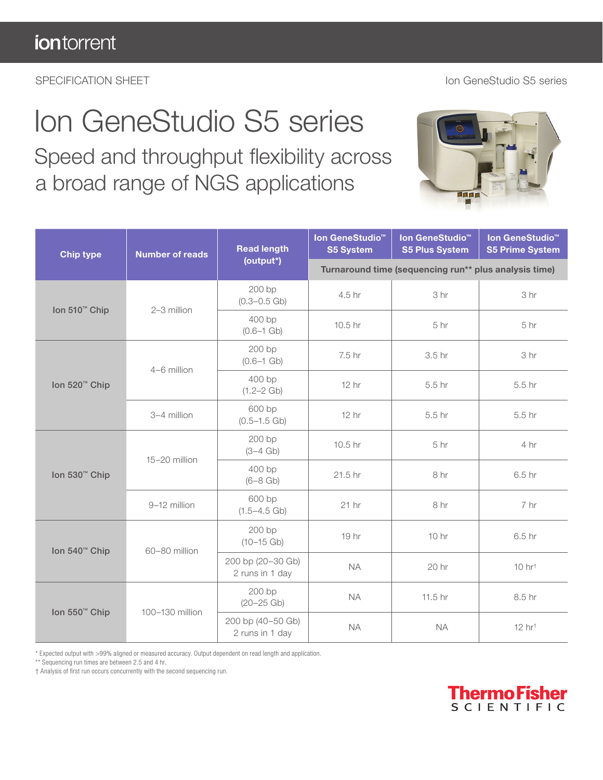## Ion GeneStudio S5 series

 Speed and throughput flexibility across a broad range of NGS applications



| <b>Chip type</b>          | <b>Number of reads</b> | <b>Read length</b><br>(output*)      | Ion GeneStudio <sup>™</sup><br><b>S5 System</b>       | Ion GeneStudio <sup>™</sup><br><b>S5 Plus System</b> | Ion GeneStudio <sup>™</sup><br><b>S5 Prime System</b> |
|---------------------------|------------------------|--------------------------------------|-------------------------------------------------------|------------------------------------------------------|-------------------------------------------------------|
|                           |                        |                                      | Turnaround time (sequencing run** plus analysis time) |                                                      |                                                       |
| Ion 510 <sup>™</sup> Chip | 2-3 million            | 200 bp<br>$(0.3 - 0.5)$ Gb)          | 4.5 hr                                                | 3 hr                                                 | 3 hr                                                  |
|                           |                        | 400 bp<br>$(0.6 - 1)$ Gb)            | 10.5 hr                                               | 5 hr                                                 | 5 hr                                                  |
| Ion 520 <sup>™</sup> Chip | 4-6 million            | 200 bp<br>$(0.6 - 1)$ Gb)            | 7.5 hr                                                | 3.5 hr                                               | 3 hr                                                  |
|                           |                        | 400 bp<br>$(1.2 - 2)$ Gb)            | 12 hr                                                 | 5.5 hr                                               | 5.5 hr                                                |
|                           | 3-4 million            | 600 bp<br>$(0.5 - 1.5)$ Gb)          | 12 hr                                                 | 5.5 hr                                               | 5.5 <sub>hr</sub>                                     |
| Ion 530 <sup>™</sup> Chip | 15-20 million          | 200 bp<br>$(3-4)$ Gb)                | 10.5 hr                                               | 5 hr                                                 | 4 hr                                                  |
|                           |                        | 400 bp<br>$(6 - 8$ Gb)               | 21.5 hr                                               | 8 hr                                                 | 6.5 hr                                                |
|                           | 9-12 million           | 600 bp<br>$(1.5 - 4.5 \text{ Gb})$   | $21$ hr                                               | 8 hr                                                 | 7 hr                                                  |
| Ion 540 <sup>™</sup> Chip | 60-80 million          | 200 bp<br>$(10-15$ Gb)               | 19 hr                                                 | 10 <sub>hr</sub>                                     | 6.5 hr                                                |
|                           |                        | 200 bp (20-30 Gb)<br>2 runs in 1 day | <b>NA</b>                                             | 20 hr                                                | $10$ hr <sup><math>\dagger</math></sup>               |
| Ion 550 <sup>™</sup> Chip | 100-130 million        | 200 bp<br>$(20 - 25)$ Gb)            | <b>NA</b>                                             | 11.5 hr                                              | 8.5 hr                                                |
|                           |                        | 200 bp (40-50 Gb)<br>2 runs in 1 day | <b>NA</b>                                             | <b>NA</b>                                            | $12$ hr <sup><math>\dagger</math></sup>               |

\* Expected output with >99% aligned or measured accuracy. Output dependent on read length and application.

\*\* Sequencing run times are between 2.5 and 4 hr.

† Analysis of first run occurs concurrently with the second sequencing run.